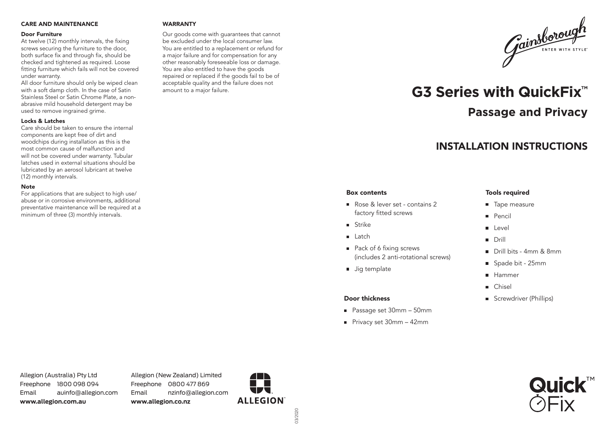#### CARE AND MAINTENANCE

#### Door Furniture

At twelve (12) monthly intervals, the fixing screws securing the furniture to the door, both surface fix and through fix, should be checked and tightened as required. Loose fitting furniture which fails will not be covered under warranty.

All door furniture should only be wiped clean with a soft damp cloth. In the case of Satin Stainless Steel or Satin Chrome Plate, a nonabrasive mild household detergent may be used to remove ingrained grime.

#### Locks & Latches

Care should be taken to ensure the internal components are kept free of dirt and woodchips during installation as this is the most common cause of malfunction and will not be covered under warranty. Tubular latches used in external situations should be lubricated by an aerosol lubricant at twelve (12) monthly intervals.

#### Note

For applications that are subject to high use/ abuse or in corrosive environments, additional preventative maintenance will be required at a minimum of three (3) monthly intervals.

#### WARRANTY

Our goods come with guarantees that cannot be excluded under the local consumer law. You are entitled to a replacement or refund for a major failure and for compensation for any other reasonably foreseeable loss or damage. You are also entitled to have the goods repaired or replaced if the goods fail to be of acceptable quality and the failure does not amount to a major failure.



# **Passage and Privacy G3 Series with QuickFix™**

# INSTALLATION INSTRUCTIONS

#### Box contents

- Rose & lever set contains 2 factory fitted screws
- **B** Strike
- $\blacksquare$  Latch
- Pack of 6 fixing screws (includes 2 anti-rotational screws)
- **Jig template**

#### Door thickness

- Passage set 30mm 50mm
- Privacy set 30mm 42mm

#### Tools required

- **Tape measure**
- Pencil
- $\blacksquare$ Level
- Drill
- Drill bits 4mm & 8mm
- Spade bit 25mm
- **Hammer**
- Chisel
- Screwdriver (Phillips)

Allegion (Australia) Pty Ltd Freephone 1800 098 094 Email auinfo@allegion.com **www.allegion.com.au** 

Allegion (New Zealand) Limited Freephone 0800 477 869 Email nzinfo@allegion.com **www.allegion.co.nz** 



03/2020